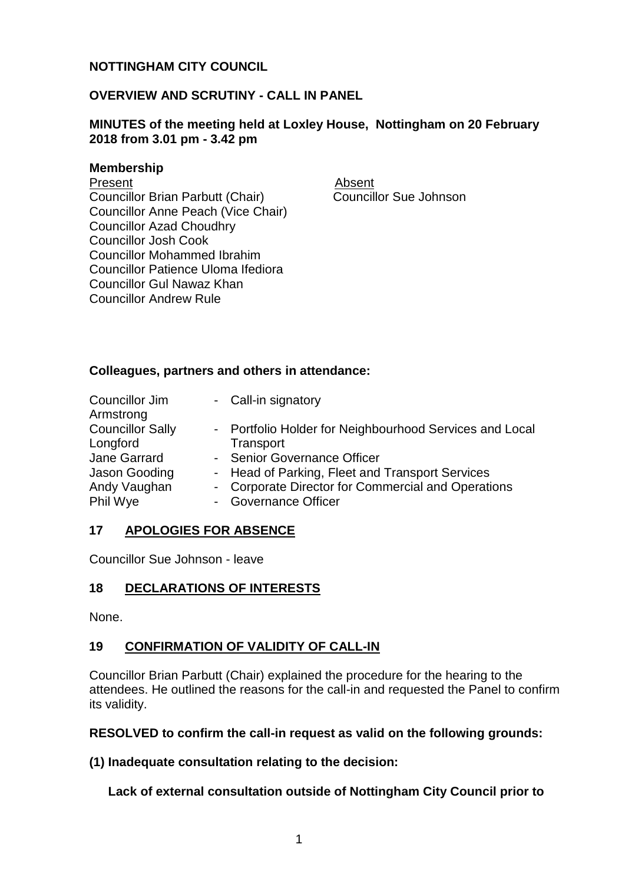# **NOTTINGHAM CITY COUNCIL**

# **OVERVIEW AND SCRUTINY - CALL IN PANEL**

### **MINUTES of the meeting held at Loxley House, Nottingham on 20 February 2018 from 3.01 pm - 3.42 pm**

#### **Membership**

Present Absent

Councillor Brian Parbutt (Chair) Councillor Anne Peach (Vice Chair) Councillor Azad Choudhry Councillor Josh Cook Councillor Mohammed Ibrahim Councillor Patience Uloma Ifediora Councillor Gul Nawaz Khan Councillor Andrew Rule

Councillor Sue Johnson

### **Colleagues, partners and others in attendance:**

| Councillor Jim<br>Armstrong | - Call-in signatory                                     |
|-----------------------------|---------------------------------------------------------|
| <b>Councillor Sally</b>     | - Portfolio Holder for Neighbourhood Services and Local |
| Longford                    | Transport                                               |
| Jane Garrard                | - Senior Governance Officer                             |
| Jason Gooding               | - Head of Parking, Fleet and Transport Services         |
| Andy Vaughan                | - Corporate Director for Commercial and Operations      |
| Phil Wye                    | - Governance Officer                                    |

### **17 APOLOGIES FOR ABSENCE**

Councillor Sue Johnson - leave

# **18 DECLARATIONS OF INTERESTS**

None.

### **19 CONFIRMATION OF VALIDITY OF CALL-IN**

Councillor Brian Parbutt (Chair) explained the procedure for the hearing to the attendees. He outlined the reasons for the call-in and requested the Panel to confirm its validity.

**RESOLVED to confirm the call-in request as valid on the following grounds:**

**(1) Inadequate consultation relating to the decision:**

**Lack of external consultation outside of Nottingham City Council prior to**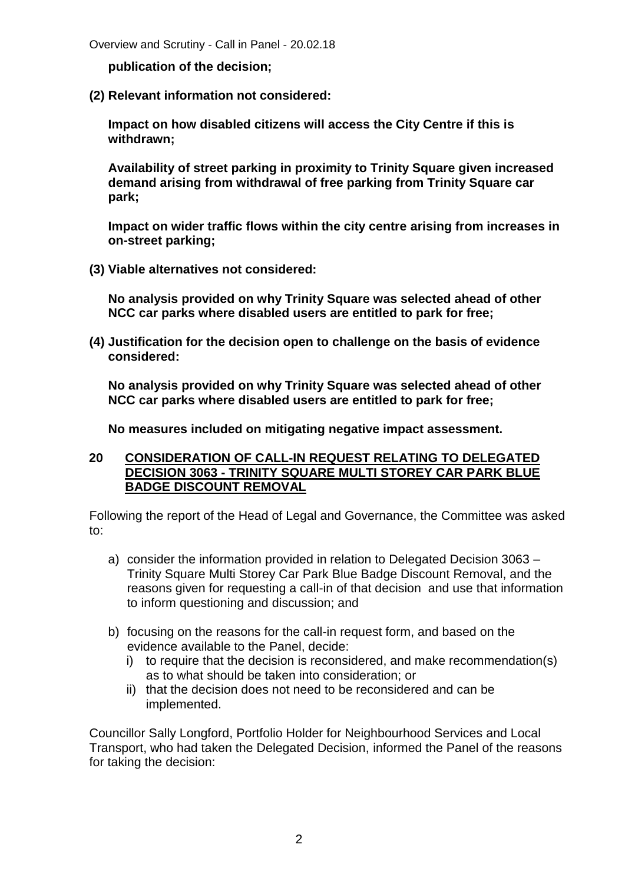Overview and Scrutiny - Call in Panel - 20.02.18

**publication of the decision;**

**(2) Relevant information not considered:**

**Impact on how disabled citizens will access the City Centre if this is withdrawn;**

**Availability of street parking in proximity to Trinity Square given increased demand arising from withdrawal of free parking from Trinity Square car park;**

**Impact on wider traffic flows within the city centre arising from increases in on-street parking;**

**(3) Viable alternatives not considered:**

**No analysis provided on why Trinity Square was selected ahead of other NCC car parks where disabled users are entitled to park for free;**

**(4) Justification for the decision open to challenge on the basis of evidence considered:**

**No analysis provided on why Trinity Square was selected ahead of other NCC car parks where disabled users are entitled to park for free;**

**No measures included on mitigating negative impact assessment.**

### **20 CONSIDERATION OF CALL-IN REQUEST RELATING TO DELEGATED DECISION 3063 - TRINITY SQUARE MULTI STOREY CAR PARK BLUE BADGE DISCOUNT REMOVAL**

Following the report of the Head of Legal and Governance, the Committee was asked to:

- a) consider the information provided in relation to Delegated Decision 3063 Trinity Square Multi Storey Car Park Blue Badge Discount Removal, and the reasons given for requesting a call-in of that decision and use that information to inform questioning and discussion; and
- b) focusing on the reasons for the call-in request form, and based on the evidence available to the Panel, decide:
	- i) to require that the decision is reconsidered, and make recommendation(s) as to what should be taken into consideration; or
	- ii) that the decision does not need to be reconsidered and can be implemented.

Councillor Sally Longford, Portfolio Holder for Neighbourhood Services and Local Transport, who had taken the Delegated Decision, informed the Panel of the reasons for taking the decision: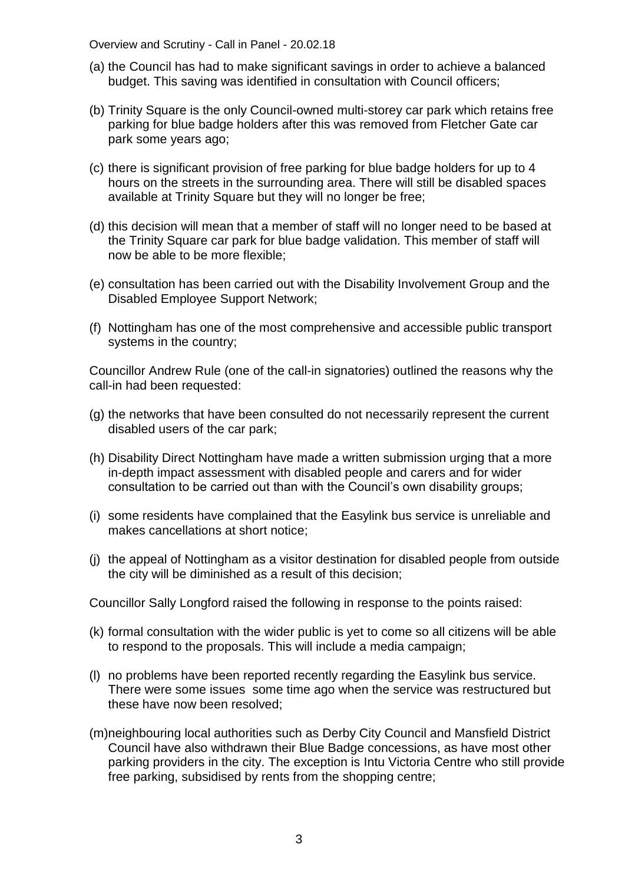Overview and Scrutiny - Call in Panel - 20.02.18

- (a) the Council has had to make significant savings in order to achieve a balanced budget. This saving was identified in consultation with Council officers;
- (b) Trinity Square is the only Council-owned multi-storey car park which retains free parking for blue badge holders after this was removed from Fletcher Gate car park some years ago;
- (c) there is significant provision of free parking for blue badge holders for up to 4 hours on the streets in the surrounding area. There will still be disabled spaces available at Trinity Square but they will no longer be free;
- (d) this decision will mean that a member of staff will no longer need to be based at the Trinity Square car park for blue badge validation. This member of staff will now be able to be more flexible;
- (e) consultation has been carried out with the Disability Involvement Group and the Disabled Employee Support Network;
- (f) Nottingham has one of the most comprehensive and accessible public transport systems in the country;

Councillor Andrew Rule (one of the call-in signatories) outlined the reasons why the call-in had been requested:

- (g) the networks that have been consulted do not necessarily represent the current disabled users of the car park;
- (h) Disability Direct Nottingham have made a written submission urging that a more in-depth impact assessment with disabled people and carers and for wider consultation to be carried out than with the Council's own disability groups;
- (i) some residents have complained that the Easylink bus service is unreliable and makes cancellations at short notice;
- (j) the appeal of Nottingham as a visitor destination for disabled people from outside the city will be diminished as a result of this decision;

Councillor Sally Longford raised the following in response to the points raised:

- (k) formal consultation with the wider public is yet to come so all citizens will be able to respond to the proposals. This will include a media campaign;
- (l) no problems have been reported recently regarding the Easylink bus service. There were some issues some time ago when the service was restructured but these have now been resolved;
- (m)neighbouring local authorities such as Derby City Council and Mansfield District Council have also withdrawn their Blue Badge concessions, as have most other parking providers in the city. The exception is Intu Victoria Centre who still provide free parking, subsidised by rents from the shopping centre;